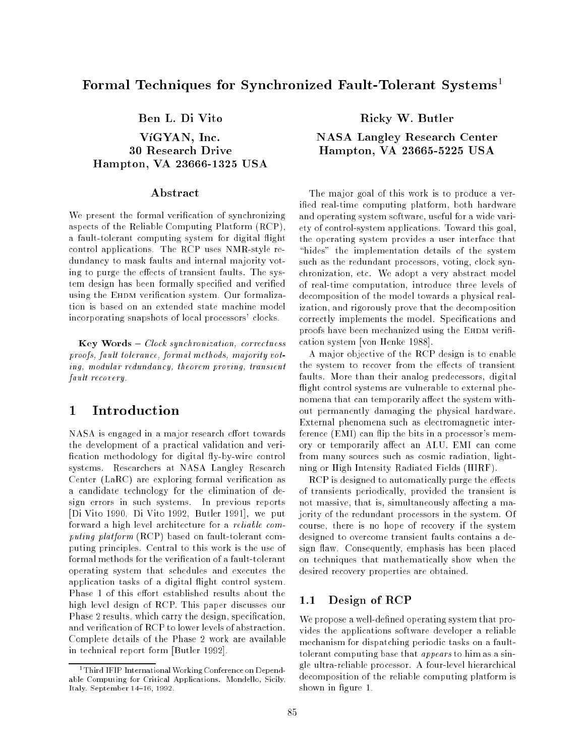# Formal Techniques for Synchronized Fault-Tolerant Systems<sup>1</sup>

Ben L. Di Vito

VíGYAN, Inc. 30 Research Drive Hampton, VA 23666-1325 USA

#### Abstract

We present the formal verification of synchronizing aspects of the Reliable Computing Platform (RCP), a fault-tolerant computing system for digital flight control applications. The RCP uses NMR-style redundancy to mask faults and internal majority voting to purge the effects of transient faults. The system design has been formally specified and verified using the EHDM verification system. Our formalization is based on an extended state machine model incorporating snapshots of local processors' clocks.

 $Key Words - Clock synchronization, correctness$ proofs, fault tolerance, formal methods, majority voting, modular redundancy, theorem proving, transient fault recovery.

#### 1 **Introduction**

NASA is engaged in a major research effort towards the development of a practical validation and veri fication methodology for digital fly-by-wire control systems. Researchers at NASA Langley Research Center (LaRC) are exploring formal verification as a candidate technology for the elimination of design errors in such systems. In previous reports [Di Vito 1990, Di Vito 1992, Butler 1991], we put forward a high level architecture for a reliable computing platform (RCP) based on fault-tolerant computing principles. Central to this work is the use of formal methods for the verication of a fault-tolerant operating system that schedules and executes the application tasks of a digital flight control system. Phase 1 of this effort established results about the high level design of RCP. This paper discusses our Phase 2 results, which carry the design, specification, and verication of RCP to lower levels of abstraction. Complete details of the Phase 2 work are available in technical report form [Butler 1992].

Ricky W. Butler

## NASA Langley Research Center Hampton, VA 23665-5225 USA

The major goal of this work is to produce a veried real-time computing platform, both hardware and operating system software, useful for a wide variety of control-system applications. Toward this goal, the operating system provides a user interface that "hides" the implementation details of the system such as the redundant processors, voting, clock synchronization, etc. We adopt a very abstract model of real-time computation, introduce three levels of decomposition of the model towards a physical realization, and rigorously prove that the decomposition correctly implements the model. Specications and proofs have been mechanized using the EHDM verification system [von Henke 1988].

A major objective of the RCP design is to enable the system to recover from the effects of transient faults. More than their analog predecessors, digital flight control systems are vulnerable to external phenomena that can temporarily affect the system without permanently damaging the physical hardware. External phenomena such as electromagnetic interference (EMI) can flip the bits in a processor's memory or temporarily affect an ALU. EMI can come from many sources such as cosmic radiation, lightning or High Intensity Radiated Fields (HIRF).

RCP is designed to automatically purge the effects of transients periodically, provided the transient is not massive, that is, simultaneously affecting a majority of the redundant processors in the system. Of course, there is no hope of recovery if the system designed to overcome transient faults contains a design flaw. Consequently, emphasis has been placed on techniques that mathematically show when the desired recovery properties are obtained.

#### $1.1$ Design of RCP

We propose a well-defined operating system that provides the applications software developer a reliable mechanism for dispatching periodic tasks on a faulttolerant computing base that appears to him as a single ultra-reliable processor. A four-level hierarchical decomposition of the reliable computing platform is shown in figure 1.

 $^1$  Third IFIP International Working Conference on Dependable Computing for Critical Applications. Mondello, Sicily, Italy. September 14-16, 1992.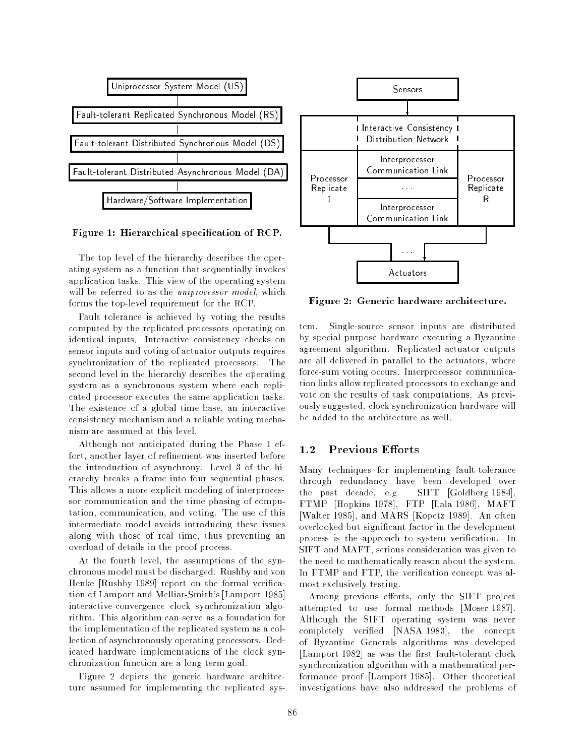

Figure 1: Hierarchical specification of RCP.

The top level of the hierarchy describes the operating system as a function that sequentially invokes application tasks. This view of the operating system will be referred to as the *uniprocessor model*, which forms the top-level requirement for the RCP.

Fault tolerance is achieved by voting the results computed by the replicated processors operating on identical inputs. Interactive consistency checks on sensor inputs and voting of actuator outputs requires synchronization of the replicated processors. The second level in the hierarchy describes the operating system as a synchronous system where each replicated processor executes the same application tasks. The existence of a global time base, an interactive consistency mechanism and a reliable voting mechanism are assumed at this level.

Although not anticipated during the Phase 1 effort, another layer of refinement was inserted before the introduction of asynchrony. Level 3 of the hierarchy breaks a frame into four sequential phases. This allows a more explicit modeling of interprocessor communication and the time phasing of computation, communication, and voting. The use of this intermediate model avoids introducing these issues along with those of real time, thus preventing an overload of details in the proof process.

At the fourth level, the assumptions of the synchronous model must be discharged. Rushby and von Henke [Rushby 1989] report on the formal verication of Lamport and Melliar-Smith's [Lamport 1985] interactive-convergence clock synchronization algorithm. This algorithm can serve as a foundation for the implementation of the replicated system as a collection of asynchronously operating processors. Dedicated hardware implementations of the clock synchronization function are a long-term goal.

Figure 2 depicts the generic hardware architecture assumed for implementing the replicated sys-



Figure 2: Generic hardware architecture.

tem. Single-source sensor inputs are distributed by special purpose hardware executing a Byzantine agreement algorithm. Replicated actuator outputs are all delivered in parallel to the actuators, where force-sum voting occurs. Interprocessor communication links allow replicated processors to exchange and vote on the results of task computations. As previously suggested, clock synchronization hardware will be added to the architecture as well.

#### 1.2 Previous Efforts

Many techniques for implementing fault-tolerance through redundancy have been developed over the past decade, e.g. SIFT [Goldberg 1984], FTMP [Hopkins 1978], FTP [Lala 1986], MAFT [Walter 1985], and MARS [Kopetz 1989]. An often overlooked but signicant factor in the development process is the approach to system verification. In SIFT and MAFT, serious consideration was given to the need to mathematically reason about the system. In FTMP and FTP, the verification concept was almost exclusively testing.

Among previous efforts, only the SIFT project attempted to use formal methods [Moser 1987]. Although the SIFT operating system was never completely veried [NASA 1983], the concept of Byzantine Generals algorithms was developed [Lamport 1982] as was the first fault-tolerant clock synchronization algorithm with a mathematical performance proof [Lamport 1985]. Other theoretical investigations have also addressed the problems of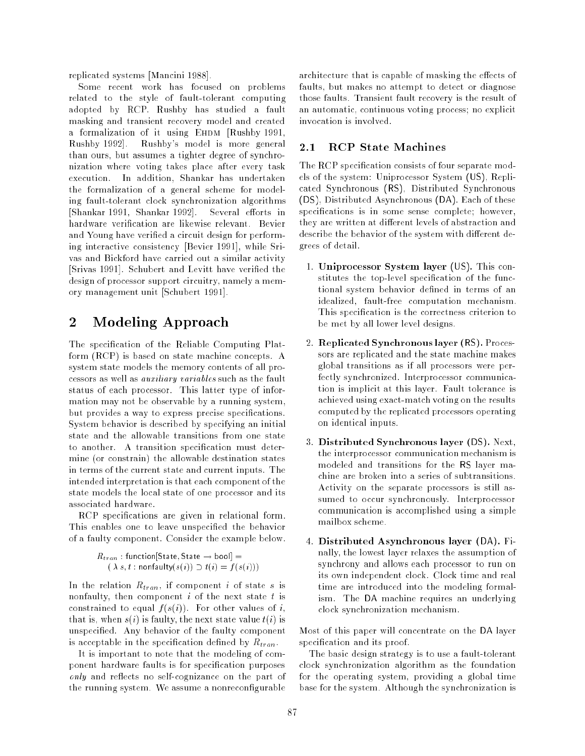replicated systems [Mancini 1988].

Some recent work has focused on problems related to the style of fault-tolerant computing adopted by RCP. Rushby has studied a fault masking and transient recovery model and created a formalization of it using EHDM [Rushby 1991, Rushby 1992]. Rushby's model is more general than ours, but assumes a tighter degree of synchronization where voting takes place after every task execution. In addition, Shankar has undertaken the formalization of a general scheme for modeling fault-tolerant clock synchronization algorithms [Shankar 1991, Shankar 1992]. Several efforts in hardware verication are likewise relevant. Bevier and Young have verified a circuit design for performing interactive consistency [Bevier 1991], while Srivas and Bickford have carried out a similar activity [Srivas 1991]. Schubert and Levitt have veried the design of processor support circuitry, namely a memory management unit [Schubert 1991].

#### $\overline{2}$ Modeling Approach

The specification of the Reliable Computing Platform (RCP) is based on state machine concepts. A system state models the memory contents of all processors as well as auxiliary variables such as the fault status of each processor. This latter type of information may not be observable by a running system, but provides a way to express precise specications. System behavior is described by specifying an initial state and the allowable transitions from one state to another. A transition specification must determine (or constrain) the allowable destination states in terms of the current state and current inputs. The intended interpretation is that each component of the state models the local state of one processor and its associated hardware.

RCP specications are given in relational form. This enables one to leave unspecified the behavior of a faulty component. Consider the example below.

$$
R_{tran}: function[State, State \rightarrow bool] =
$$
  

$$
(\lambda s, t: nonfaulty(s(i)) \supset t(i) = f(s(i)))
$$

In the relation  $R_{tran}$ , if component *i* of state *s* is nonfaulty, then component  $i$  of the next state  $t$  is constrained to equal  $f(s(i))$ . For other values of i, that is, when  $s(i)$  is faulty, the next state value  $t(i)$  is unspecied. Any behavior of the faulty component is acceptable in the specification defined by  $R_{tran}$ .

It is important to note that the modeling of component hardware faults is for specification purposes only and reflects no self-cognizance on the part of the running system. We assume a nonreconfigurable

architecture that is capable of masking the effects of faults, but makes no attempt to detect or diagnose those faults. Transient fault recovery is the result of an automatic, continuous voting process; no explicit invocation is involved.

## 2.1 RCP State Machines

The RCP specification consists of four separate models of the system: Uniprocessor System (US), Replicated Synchronous (RS), Distributed Synchronous (DS), Distributed Asynchronous (DA). Each of these specifications is in some sense complete; however, they are written at different levels of abstraction and describe the behavior of the system with different degrees of detail.

- 1. Uniprocessor System layer (US). This constitutes the top-level specification of the functional system behavior defined in terms of an idealized, fault-free computation mechanism. This specication is the correctness criterion to be met by all lower level designs.
- 2. Replicated Synchronous layer (RS). Processors are replicated and the state machine makes global transitions as if all processors were perfectly synchronized. Interprocessor communication is implicit at this layer. Fault tolerance is achieved using exact-match voting on the results computed by the replicated processors operating on identical inputs.
- 3. Distributed Synchronous layer (DS). Next, the interprocessor communication mechanism is modeled and transitions for the RS layer machine are broken into a series of subtransitions. Activity on the separate processors is still assumed to occur synchronously. Interprocessor communication is accomplished using a simple mailbox scheme.
- 4. Distributed Asynchronous layer (DA). Finally, the lowest layer relaxes the assumption of synchrony and allows each processor to run on its own independent clock. Clock time and real time are introduced into the modeling formalism. The DA machine requires an underlying clock synchronization mechanism.

Most of this paper will concentrate on the DA layer specification and its proof.

The basic design strategy is to use a fault-tolerant clock synchronization algorithm as the foundation for the operating system, providing a global time base for the system. Although the synchronization is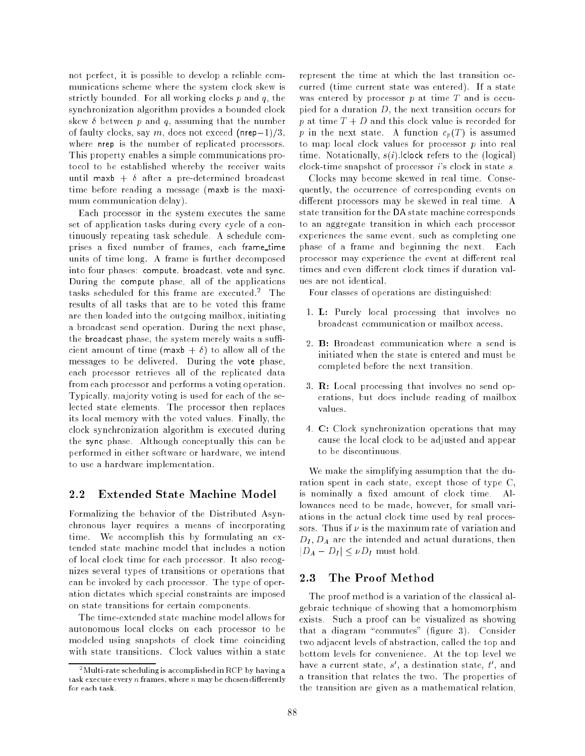not perfect, it is possible to develop a reliable communications scheme where the system clock skew is strictly bounded. For all working clocks  $p$  and  $q$ , the synchronization algorithm provides a bounded clock skew  $\delta$  between p and q, assuming that the number of faulty clocks, say m, does not exceed (nrep-1)/3, where nrep is the number of replicated processors. This property enables a simple communications protocol to be established whereby the receiver waits until maxb +  $\delta$  after a pre-determined broadcast time before reading a message (maxb is the maximum communication delay).

Each processor in the system executes the same set of application tasks during every cycle of a continuously repeating task schedule. A schedule comprises a fixed number of frames, each frame\_time units of time long. A frame is further decomposed into four phases: compute, broadcast, vote and sync. During the compute phase, all of the applications tasks scheduled for this frame are executed.<sup>2</sup> The results of all tasks that are to be voted this frame are then loaded into the outgoing mailbox, initiating a broadcast send operation. During the next phase, the broadcast phase, the system merely waits a sufficient amount of time (maxb  $+ \delta$ ) to allow all of the messages to be delivered. During the vote phase, each processor retrieves all of the replicated data from each processor and performs a voting operation. Typically, majority voting is used for each of the selected state elements. The processor then replaces its local memory with the voted values. Finally, the clock synchronization algorithm is executed during the sync phase. Although conceptually this can be performed in either software or hardware, we intend to use a hardware implementation.

### 2.2 Extended State Machine Model

Formalizing the behavior of the Distributed Asynchronous layer requires a means of incorporating time. We accomplish this by formulating an extended state machine model that includes a notion of local clock time for each processor. It also recognizes several types of transitions or operations that can be invoked by each processor. The type of operation dictates which special constraints are imposed on state transitions for certain components.

The time-extended state machine model allows for autonomous local clocks on each processor to be modeled using snapshots of clock time coinciding with state transitions. Clock values within a state represent the time at which the last transition occurred (time current state was entered). If a state was entered by processor  $p$  at time  $T$  and is occupied for a duration D, the next transition occurs for p at time  $T + D$  and this clock value is recorded for p in the next state. A function  $c_p(T)$  is assumed to map local clock values for processor  $p$  into real time. Notationally,  $s(i)$  lelock refers to the (logical) clock-time snapshot of processor <sup>i</sup>'s clock in state s.

Clocks may become skewed in real time. Consequently, the occurrence of corresponding events on different processors may be skewed in real time. A state transition for the DA state machine corresponds to an aggregate transition in which each processor experiences the same event, such as completing one phase of a frame and beginning the next. Each processor may experience the event at different real times and even different clock times if duration values are not identical.

Four classes of operations are distinguished:

- 1. L: Purely local processing that involves no broadcast communication or mailbox access.
- 2. B: Broadcast communication where a send is initiated when the state is entered and must be completed before the next transition.
- 3. R: Local processing that involves no send operations, but does include reading of mailbox values.
- 4. C: Clock synchronization operations that may cause the local clock to be adjusted and appear to be discontinuous.

We make the simplifying assumption that the duration spent in each state, except those of type C, is nominally a fixed amount of clock time. Allowances need to be made, however, for small variations in the actual clock time used by real processors. Thus if  $\nu$  is the maximum rate of variation and  $D_I, D_A$  are the intended and actual durations, then  $|D_A - D_I| \leq \nu D_I$  must hold.

#### The Proof Method  $2.3$

The proof method is a variation of the classical algebraic technique of showing that a homomorphism exists. Such a proof can be visualized as showing that a diagram "commutes" (figure 3). Consider two adjacent levels of abstraction, called the top and bottom levels for convenience. At the top level we nave a current state,  $s$  , a destination state,  $\iota$  , and a transition that relates the two. The properties of the transition are given as a mathematical relation,

<sup>&</sup>lt;sup>2</sup> Multi-rate scheduling is accomplished in RCP by having a task execute every  $n$  frames, where  $n$  may be chosen differently for each task.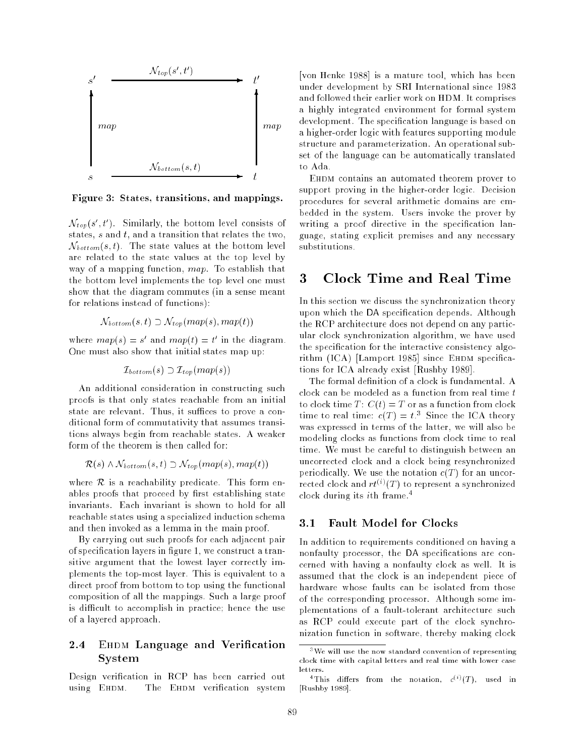

Figure 3: States, transitions, and mappings.

 $\mathcal{N}_{top}(s_\rightarrow{}t_\rightarrow{})$ . Similarly, the bottom level consists of states,  $s$  and  $t$ , and a transition that relates the two,  $N_{bottom}(s, t)$ . The state values at the bottom level are related to the state values at the top level by way of a mapping function, map. To establish that the bottom level implements the top level one must show that the diagram commutes (in a sense meant for relations instead of functions):

$$
\mathcal{N}_{bottom}(s,t) \supset \mathcal{N}_{top}(map(s),map(t))
$$

where  $map(s) = s$  and  $map(t) = t$  in the diagram. One must also show that initial states map up:

$$
\mathcal{I}_{bottom}(s) \supset \mathcal{I}_{top}(map(s))
$$

An additional consideration in constructing such proofs is that only states reachable from an initial state are relevant. Thus, it suffices to prove a conditional form of commutativity that assumes transitions always begin from reachable states. A weaker form of the theorem is then called for:

 $\mathcal{R}(s) \wedge \mathcal{N}_{bottom}(s,t) \supset \mathcal{N}_{top}(map(s),map(t))$ 

where  $R$  is a reachability predicate. This form enables proofs that proceed by first establishing state invariants. Each invariant is shown to hold for all reachable states using a specialized induction schema and then invoked as a lemma in the main proof.

By carrying out such proofs for each adjacent pair of specification layers in figure 1, we construct a transitive argument that the lowest layer correctly implements the top-most layer. This is equivalent to a direct proof from bottom to top using the functional composition of all the mappings. Such a large proof is difficult to accomplish in practice; hence the use of a layered approach.

### 2.4 EHDM Language and Verification System

Design verification in RCP has been carried out using EHDM. The EHDM verification system

[von Henke 1988] is a mature tool, which has been under development by SRI International since 1983 and followed their earlier work on HDM. It comprises a highly integrated environment for formal system development. The specication language is based on a higher-order logic with features supporting module structure and parameterization. An operational subset of the language can be automatically translated to Ada.

EHDM contains an automated theorem prover to support proving in the higher-order logic. Decision procedures for several arithmetic domains are embedded in the system. Users invoke the prover by writing a proof directive in the specification language, stating explicit premises and any necessary substitutions.

## 3 Clock Time and Real Time

In this section we discuss the synchronization theory upon which the DA specication depends. Although the RCP architecture does not depend on any particular clock synchronization algorithm, we have used the specication for the interactive consistency algorithm  $(ICA)$  [Lamport 1985] since EHDM specifications for ICA already exist [Rushby 1989].

The formal definition of a clock is fundamental. A clock can be modeled as a function from real time  $t$ to clock time  $T: C(t) = T$  or as a function from clock time to real time:  $c(T) = t$ . Since the ICA theory was expressed in terms of the latter, we will also be modeling clocks as functions from clock time to real time. We must be careful to distinguish between an uncorrected clock and a clock being resynchronized periodically. We use the notation  $c(T)$  for an uncorrected clock and  $rt^{(i)}(T)$  to represent a synchronized clock during its *i*th frame.<sup>4</sup>

#### 3.1 Fault Model for Clocks

In addition to requirements conditioned on having a nonfaulty processor, the DA specifications are concerned with having a nonfaulty clock as well. It is assumed that the clock is an independent piece of hardware whose faults can be isolated from those of the corresponding processor. Although some implementations of a fault-tolerant architecture such as RCP could execute part of the clock synchronization function in software, thereby making clock

<sup>3</sup>We will use the now standard convention of representing clock time with capital letters and real time with lower case letters.

 $\lceil$  Inis differs from the notation,  $\ell^{n+1}$ , used in [Rushby 1989].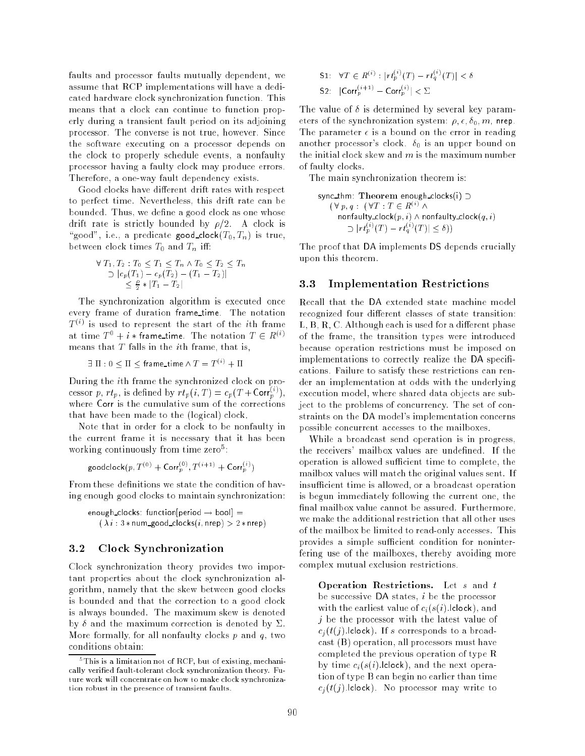faults and processor faults mutually dependent, we assume that RCP implementations will have a dedicated hardware clock synchronization function. This means that a clock can continue to function properly during a transient fault period on its adjoining processor. The converse is not true, however. Since the software executing on a processor depends on the clock to properly schedule events, a nonfaulty processor having a faulty clock may produce errors. Therefore, a one-way fault dependency exists.

Good clocks have different drift rates with respect to perfect time. Nevertheless, this drift rate can be bounded. Thus, we define a good clock as one whose drift rate is strictly bounded by  $\rho/2$ . A clock is "good", i.e., a predicate good\_clock( $T_0, T_n$ ) is true, between clock times  $T_0$  and  $T_n$  iff:

$$
\forall T_1, T_2 : T_0 \le T_1 \le T_n \land T_0 \le T_2 \le T_n \supset |c_p(T_1) - c_p(T_2) - (T_1 - T_2)| \le \frac{\rho}{2} * |T_1 - T_2|
$$

The synchronization algorithm is executed once every frame of duration frame time. The notation  $T^{(i)}$  is used to represent the start of the *i*th frame at time  $T^0 + i *$  frame\_time. The notation  $T \in R^{(i)}$ means that  $T$  falls in the *i*th frame, that is,

<sup>9</sup> : 0 frame time ^ <sup>T</sup> <sup>=</sup> <sup>T</sup> (i) +

During the ith frame the synchronized clock on processor p,  $rt_p$ , is defined by  $rt_p(i,T) = c_p(T + \textsf{Corr}_p^{(i)})$  $p \rightarrow$ , where Corr is the cumulative sum of the corrections that have been made to the (logical) clock.

Note that in order for a clock to be nonfaulty in the current frame it is necessary that it has been working continuously from time zerof:

goodclock $(p, T^{\vee}) + \text{Corr}_p^{\vee\wedge}, T^{\vee\vee\vee\vee} + \text{Corr}_p^{\vee\wedge})$ 

From these definitions we state the condition of having enough good clocks to maintain synchronization:

```
enough clocks: function [period \rightarrow bool] =
   (\lambda i : 3 * num\_good\_clocks(i, nrep) > 2 * nrep)
```
### 3.2 Clock Synchronization

Clock synchronization theory provides two important properties about the clock synchronization algorithm, namely that the skew between good clocks is bounded and that the correction to a good clock is always bounded. The maximum skew is denoted by  $\delta$  and the maximum correction is denoted by  $\Sigma$ . More formally, for all nonfaulty clocks  $p$  and  $q$ , two conditions obtain:

S1: 
$$
\forall T \in R^{(i)} : |rt_p^{(i)}(T) - rt_q^{(i)}(T)| < \delta
$$
  
S2:  $|Corr_p^{(i+1)} - Corr_p^{(i)}| < \Sigma$ 

The value of  $\delta$  is determined by several key parameters of the synchronization system:  $\rho, \epsilon, \delta_0, m$ , nrep. The parameter  $\epsilon$  is a bound on the error in reading another processor's clock.  $\delta_0$  is an upper bound on the initial clock skew and  $m$  is the maximum number of faulty clocks.

The main synchronization theorem is:

$$
\begin{array}{ll}\texttt{sync\_thm: Theorem enough\_clocks(i)} \supset \\ (\forall\, p, q\, : \; (\forall T: T \in R^{(i)} \land \\ \texttt{nonfaulty\_clock}(p, i) \land \texttt{nonfaulty\_clock}(q, i) \\ \supset |r t_p^{(i)}(T) - r t_q^{(i)}(T)| \leq \delta))\end{array}
$$

The proof that DA implements DS depends crucially upon this theorem.

### 3.3 Implementation Restrictions

Recall that the DA extended state machine model recognized four different classes of state transition:  $\tt L, B, R, C.$  Although each is used for a different phase of the frame, the transition types were introduced because operation restrictions must be imposed on implementations to correctly realize the DA specifications. Failure to satisfy these restrictions can render an implementation at odds with the underlying execution model, where shared data objects are subject to the problems of concurrency. The set of constraints on the DA model's implementation concerns possible concurrent accesses to the mailboxes.

While a broadcast send operation is in progress, the receivers' mailbox values are undefined. If the operation is allowed sufficient time to complete, the mailbox values will match the original values sent. If insufficient time is allowed, or a broadcast operation is begun immediately following the current one, the final mailbox value cannot be assured. Furthermore, we make the additional restriction that all other uses of the mailbox be limited to read-only accesses. This provides a simple sufficient condition for noninterfering use of the mailboxes, thereby avoiding more complex mutual exclusion restrictions.

Operation Restrictions. Let <sup>s</sup> and <sup>t</sup> be successive DA states, <sup>i</sup> be the processor with the earliest value of  $c_i(s(i))$ . lclock), and <sup>j</sup> be the processor with the latest value of  $c_i(t(j))$ . lelock). If s corresponds to a broadcast (B) operation, all processors must have completed the previous operation of type R by time  $c_i(s(i))$ : clock), and the next operation of type B can begin no earlier than time  $c_i(t(j))$ . lelock). No processor may write to

 $5$ This is a limitation not of RCP, but of existing, mechanically veried fault-tolerant clock synchronization theory. Future work will concentrate on how to make clock synchronization robust in the presence of transient faults.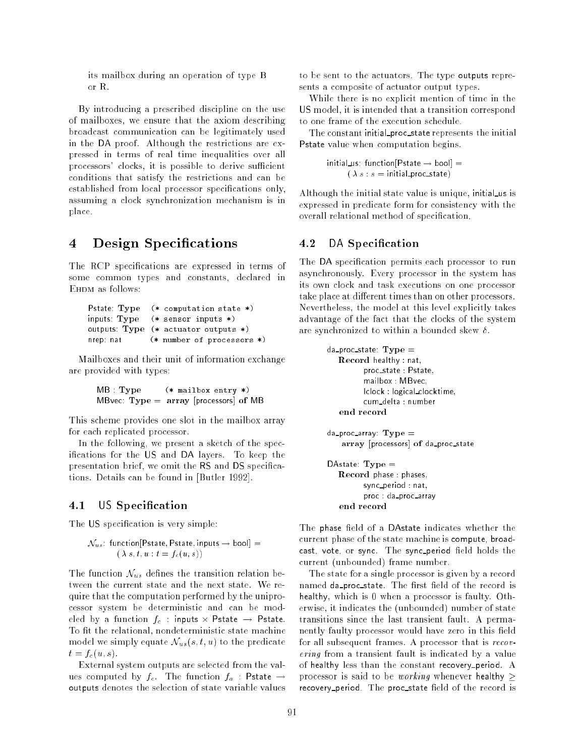its mailbox during an operation of type B  $or R.$ 

By introducing a prescribed discipline on the use of mailboxes, we ensure that the axiom describing broadcast communication can be legitimately used in the DA proof. Although the restrictions are expressed in terms of real time inequalities over all processors' clocks, it is possible to derive sufficient conditions that satisfy the restrictions and can be established from local processor specifications only, assuming a clock synchronization mechanism is in place.

#### Design Specifications  $\overline{4}$

The RCP specifications are expressed in terms of some common types and constants, declared in EHDM as follows:

```
Pstate: Type (* computation state *)
inputs: Type (* sensor inputs *)
outputs: Type (* actuator outputs *)
nrep: nat (* number of processors *)
```
Mailboxes and their unit of information exchange are provided with types:

```
MB : Type (* mailbox entry *)MBvec: Type = array [processors] of MB
```
This scheme provides one slot in the mailbox array for each replicated processor.

In the following, we present a sketch of the specifications for the US and DA layers. To keep the presentation brief, we omit the RS and DS specifications. Details can be found in [Butler 1992].

#### 4.1 US Specification

The US specification is very simple:

$$
\mathcal{N}_{us}: \text{ function}[ \textsf{Pstate}, \textsf{Pstate}, \textsf{inputs} \rightarrow \textsf{bool} ] = \\ (\lambda \ s, t, u : t = f_c(u, s))
$$

The function  $\mathcal{N}_{us}$  defines the transition relation between the current state and the next state. We require that the computation performed by the uniprocessor system be deterministic and can be modeled by a function  $fe$ . inputs  $\wedge$  i state  $\wedge$  i state. To fit the relational, nondeterministic state machine model we simply equate  $\mathcal{N}_{us}(s,t,u)$  to the predicate  $t = f_c(u, s)$ .

External system outputs are selected from the values computed by  $f_c$ . The function  $f_a$ : Pstate  $\rightarrow$ outputs denotes the selection of state variable values

to be sent to the actuators. The type outputs represents a composite of actuator output types.

While there is no explicit mention of time in the US model, it is intended that a transition correspond to one frame of the execution schedule.

The constant initial proc state represents the initial Pstate value when computation begins.

> initial us: function [Pstate  $\rightarrow$  bool] =  $(\lambda s : s = \text{initial\_proc\_state})$

Although the initial state value is unique, initial us is expressed in predicate form for consistency with the overall relational method of specification.

#### 4.2 DA Specication

The DA specification permits each processor to run asynchronously. Every processor in the system has its own clock and task executions on one processor take place at different times than on other processors. Nevertheless, the model at this level explicitly takes advantage of the fact that the clocks of the system are synchronized to within a bounded skew  $\delta.$ 

```
da-proc state: Type =Record healthy : nat;
          proc state : Pstate;
          mailbox : MBvec;
         lclock : logical clocktime;
         cum_delta : number
   end record
da-proc-array: Type =array [processors] of da_proc_state
DAstate: Type =Record phase : phases;
         sync period : nat;
         proc : da_proc_array
   end record
```
The phase field of a DAstate indicates whether the current phase of the state machine is compute, broadcast, vote, or sync. The sync\_period field holds the current (unbounded) frame number.

The state for a single processor is given by a record named da\_proc\_state. The first field of the record is healthy, which is 0 when a processor is faulty. Otherwise, it indicates the (unbounded) number of state transitions since the last transient fault. A permanently faulty processor would have zero in this field for all subsequent frames. A processor that is recovering from a transient fault is indicated by a value of healthy less than the constant recovery period. <sup>A</sup> processor is said to be *working* whenever healthy  $\geq$ recovery\_period. The proc\_state field of the record is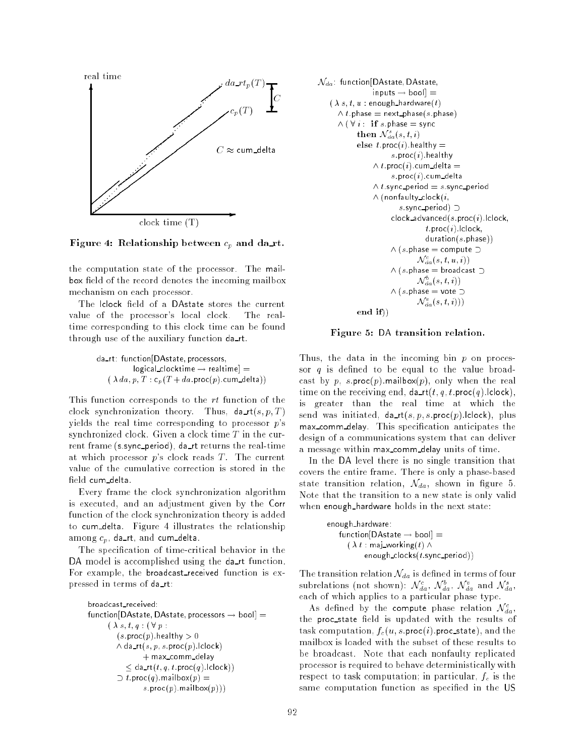

clock time (T)

Figure 4: Relationship between  $c_p$  and dart.

the computation state of the processor. The mailbox field of the record denotes the incoming mailbox mechanism on each processor.

The Iclock field of a DAstate stores the current value of the processor's local clock. The realtime corresponding to this clock time can be found through use of the auxiliary function da\_rt.

```
da_rt: function[DAstate, processors,
            logical_{\rm}clocktime \rightarrow realtime] =
   (\lambda da, p, T : c_p(T + da) \text{proc}(p).cum\_delta)
```
This function corresponds to the rt function of the clock synchronization theory. Thus,  $\textsf{da} \textsf{-rt}(s, p, T)$ yields the real time corresponding to processor <sup>p</sup>'s synchronized clock. Given a clock time  $T$  in the current frame (s. sync\_period), da\_rt returns the real-time at which processor  $p$ 's clock reads  $T$ . The current value of the cumulative correction is stored in the field cum delta.

Every frame the clock synchronization algorithm is executed, and an adjustment given by the Corr function of the clock synchronization theory is added to cum delta. Figure 4 illustrates the relationship among  $c_p$ , da\_rt, and cum\_delta.

The specification of time-critical behavior in the DA model is accomplished using the date function. For example, the broadcast received function is expressed in terms of da\_rt:

```
broadcast received:
function [DAstate, DAstate, processors \rightarrow bool] =
       (\lambda s, t, q : (\forall p :(s.\text{proc}(p).\text{healthy} > 0)\wedge da \mathsf{rt}(s, p, s.\mathsf{proc}(p).lclock)
                   + max_comm_delay
             \leq da_rt(t, q, t.proc(q).lclock))
          \supset t.\text{proc}(q).mailbox(p) =s.proc(p).mailbox(p)))
```

```
\mathcal{N}_{da} function [DAstate, DAstate,
                   inputs \rightarrow bool] =(\lambda s, t, u :enough_hardware(t)\wedge t.phase = next_phase(s.phase)
       \wedge ( \forall i : if s.phase = sync
              then \mathcal{N}_{da}(s, t, i)else t.\text{proc}(i).healthy =
                          s.proc(i).healthy
                    \wedge t.proc(i).cum_delta =
                          s.\textsf{proc}(i).cum delta
                    \wedge t.sync_period =s.sync_period
                    \wedge (nonfaulty clock(i,
                             s.sync_period) \supsetclock advanced(s.proc(i).lclock,
                                      t.\text{proc}(i).lclock,
                                      duration(s.phase))
                          \wedge (s.phase = compute \supset\mathcal{N}_{da}(s, t, u, i)\wedge (s.phase = broadcast \supset\mathcal{N}_{da}(s, t, t)\wedge (s.phase = vote \supsetN_{da}(s, t, t))
```
end if))

Figure 5: DA transition relation.

Thus, the data in the incoming bin  $p$  on processor  $q$  is defined to be equal to the value broadcast by p, s.proc(p).mailbox(p), only when the real time on the receiving end, da\_rt(t, q, t.proc(q).lclock), is greater than the real time at which the send was initiated, da\_rt(s, p, s.proc(p).lclock), plus max\_comm\_delay. This specification anticipates the design of a communications system that can deliver a message within max comm delay units of time.

In the DA level there is no single transition that covers the entire frame. There is only a phase-based state transition relation,  $\mathcal{N}_{da}$ , shown in figure 5 Note that the transition to a new state is only valid when enough\_hardware holds in the next state:

```
enough_hardware:
   function[DAstate \rightarrow bool] =
      (\lambda t : maj_working(t) \wedgeenough clocks(t,sync\_period))
```
The transition relation  $\mathcal{N}_{da}$  is defined in terms of four subrelations (not shown):  ${\cal N}_{da}^c$ ,  ${\cal N}_{da}^b$ ,  ${\cal N}_{da}^v$  and  ${\cal N}_{da}^s$ , each of which applies to a particular phase type.

As defined by the compute phase relation  ${\cal N}_{da}^c,$ the proc\_state field is updated with the results of task computation,  $f_c(u, s.\text{proc}(i)).$ proc\_state), and the mailbox is loaded with the subset of these results to be broadcast. Note that each nonfaulty replicated processor is required to behave deterministically with respect to task computation; in particular,  $f_c$  is the same computation function as specified in the US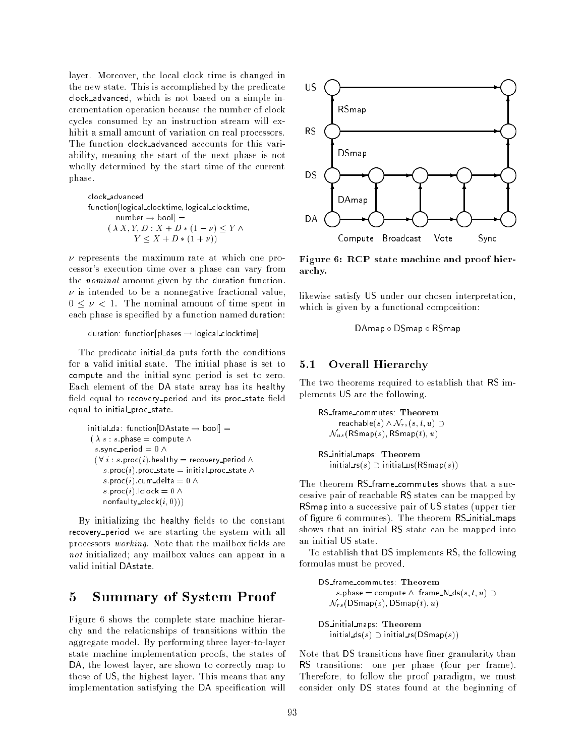layer. Moreover, the local clock time is changed in the new state. This is accomplished by the predicate clock advanced, which is not based on <sup>a</sup> simple incrementation operation because the number of clock cycles consumed by an instruction stream will exhibit a small amount of variation on real processors. The function clock advanced accounts for this variability, meaning the start of the next phase is not wholly determined by the start time of the current phase.

clock advanced: function[logical clocktime; logical clocktime; number  $\rightarrow$  bool]  $=$  $(\lambda X, Y, D : X + D * (1 - \nu) \leq Y \wedge$  $Y \leq X + D * (1 + \nu)$ 

 $\nu$  represents the maximum rate at which one processor's execution time over a phase can vary from the nominal amount given by the duration function.  $\nu$  is intended to be a nonnegative fractional value,  $0 \leq \nu < 1$ . The nominal amount of time spent in each phase is specied by a function named duration:

```
duration: function[phases \rightarrow logical clocktime]
```
The predicate initial da puts forth the conditions for a valid initial state. The initial phase is set to compute and the initial sync period is set to zero. Each element of the DA state array has its healthy field equal to recovery period and its proc\_state field equal to initial proc\_state.

```
initial da: function [DAstate \rightarrow bool] =
(\lambda s : s.\mathsf{phase} = \mathsf{compute} \wedges sync period = 0 \wedge(\forall i : s.\text{proc}(i). \text{health}y = \text{recovery-period} \wedges.proc(i).proc_state = initial proc_state \wedges.proc(i).cum_delta = 0 \wedges.proc(i).lclock = 0 \wedgenonfaulty_clock(i, 0)))
```
By initializing the healthy fields to the constant recovery period we are starting the system with all processors *working*. Note that the mailbox fields are not initialized; any mailbox values can appear in a valid initial DAstate.

# 5 Summary of System Proof

Figure 6 shows the complete state machine hierarchy and the relationships of transitions within the aggregate model. By performing three layer-to-layer state machine implementation proofs, the states of DA, the lowest layer, are shown to correctly map to those of US, the highest layer. This means that any implementation satisfying the DA specification will



Figure 6: RCP state machine and proof hierarchy.

likewise satisfy US under our chosen interpretation, which is given by a functional composition:

#### $DA$ map  $\circ$   $DS$ map  $\circ$   $RS$ map

#### 5.1 Overall Hierarchy

The two theorems required to establish that RS implements US are the following.

RS frame commutes: Theorem reachable(s)  $\land \mathcal{N}_{rs}(s, t, u) \supset$  $\mathcal{N}_{us}$  (RSmap(s), RSmap(t), u)

RS initial maps: Theorem initial  $rs(s)$   $\supset$  initial us(RSmap(s))

The theorem RS frame commutes shows that a successive pair of reachable RS states can be mapped by RSmap into a successive pair of US states (upper tier of figure 6 commutes). The theorem RS initial maps shows that an initial RS state can be mapped into an initial US state.

To establish that DS implements RS, the following formulas must be proved.

```
DS frame commutes: Theorem
       s.phase = compute \wedge frame \mathsf{N}_-ds(s, t, u) \supset\mathcal{N}_{rs}(\mathsf{DSmap}(s),\mathsf{DSmap}(t),u)
```
DS initial maps: Theorem initial  $ds(s) \supset$  initial rs(DSmap(s))

Note that DS transitions have finer granularity than RS transitions: one per phase (four per frame). Therefore, to follow the proof paradigm, we must consider only DS states found at the beginning of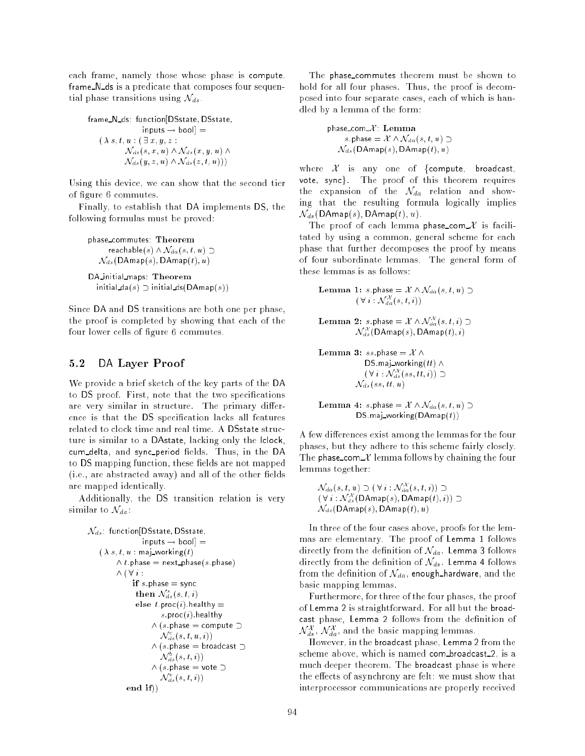each frame, namely those whose phase is compute. frame <sup>N</sup> ds is a predicate that composes four sequential phase transitions using  $\mathcal{N}_{ds}$ .

```
frame_N_ds: function[DSstate, DSstate,
                             inputs \rightarrow bool] =
      (\; \lambda \; s, t, u : (\; \exists \; x, y, z :\mathcal{N}_{ds}(s,x,\textit{\textbf{u}}) \wedge \mathcal{N}_{ds}(x,\textit{\textbf{y}},\textit{\textbf{u}}) \wedge\mathcal{N}_{ds}(y, z, u) \wedge \mathcal{N}_{ds}(z, t, u))
```
Using this device, we can show that the second tier of figure 6 commutes.

Finally, to establish that DA implements DS, the following formulas must be proved:

```
phase commutes: Theorem
       reachable(s) \wedge \mathcal{N}_{da}(s, t, u) \supset\mathcal{N}_{ds}(\mathsf{DAmap}(s),\mathsf{DAmap}(t),u)
```

```
DA initial maps: Theorem
  initial da(s) \supset initial ds(DAmap(s))
```
Since DA and DS transitions are both one per phase, the proof is completed by showing that each of the four lower cells of figure 6 commutes.

### 5.2 DA Layer Proof

We provide a brief sketch of the key parts of the DA to DS proof. First, note that the two specifications are very similar in structure. The primary difference is that the DS specification lacks all features related to clock time and real time. A DSstate structure is similar to a DAstate, lacking only the lclock, cum\_delta, and sync\_period fields. Thus, in the DA to DS mapping function, these fields are not mapped  $(i.e., are abstracted away)$  and all of the other fields are mapped identically.

Additionally, the DS transition relation is very similar to  $\mathcal{N}_{da}$ :

```
\mathcal{N}_{ds} function[DSstate, DSstate,
                    inputs \rightarrow bool =
    (\lambda s, t, u : \text{maj}_\text{working}(t))\wedge t.phase = next_phase(s.phase)
           \wedge ( \forall i :
                 if s phase = sync
                  then N_{ds}(s, t, i)else t.\text{proc}(i).healthy =
                            s.proc(i).healthy
                        \wedge (s.phase = compute \supset\mathcal{N}_{ds}(s,t,u,i)\wedge (s.phase = broadcast \supset\mathcal{N}_{ds}(s, t, t))\wedge (s.phase = vote \supset\mathcal{N}_{ds}(s,t,i) )
              end if))
```
The phase\_commutes theorem must be shown to hold for all four phases. Thus, the proof is decomposed into four separate cases, each of which is handled by a lemma of the form:

phase.com.X: Lemma  
s-phase = 
$$
X \land \mathcal{N}_{da}(s, t, u) \supset \mathcal{N}_{ds}(\text{DAmap}(s), \text{DAmap}(t), u)
$$

where  $\mathcal X$  is any one of {compute, broadcast, vote, sync}. The proof of this theorem requires the expansion of the  $\mathcal{N}_{da}$  relation and showing that the resulting formula logically implies  $\mathcal{N}_{ds}$ (DAmap(s), DAmap(t), u).

The proof of each lemma phase\_com  $\mathcal X$  is facilitated by using a common, general scheme for each phase that further decomposes the proof by means of four subordinate lemmas. The general form of these lemmas is as follows:

**Lemma 1:** s.phase = 
$$
X \wedge N_{da}(s, t, u) \supset
$$
  
 $(\forall i : N_{da}^X(s, t, i))$ 

**Lemma 2:** s.phase  $=$   $\lambda \wedge N_{da}(s, t, t) \supset$  $\mathcal{N}_{ds}$  (DAmap(s), DAmap(t), t)

**Lemma 3:** ss. phase  $= \mathcal{X} \wedge$ DS.maj working $(tt) \wedge$  $(\forall i: \mathcal{N}_{ds}(ss,tt,i))$  $\mathcal{N}_{ds}(ss,tt,u)$ 

**Lemma 4:** s.phase =  $\mathcal{X} \wedge \mathcal{N}_{da}(s, t, u)$ DS.maj\_working( $D$ Amap $(t)$ )

A few differences exist among the lemmas for the four phases, but they adhere to this scheme fairly closely. The phase\_com  $\mathcal X$  lemma follows by chaining the four lemmas together:

 $\mathcal{N}_{da}(s,t,u) \supset (\forall i : \mathcal{N}_{da}(s,t,i)) \supset$  $(\forall i: \mathcal{N}_{ds}(\textsf{UAmap}(s),\textsf{UAmap}(t),i)) \supseteq$  $\mathcal{N}_{ds}(\mathsf{DAmap}(s), \mathsf{DAmap}(t), u)$ 

In three of the four cases above, proofs for the lemmas are elementary. The proof of Lemma 1 follows directly from the definition of  ${\cal N}_{da}$ . Lemma 3 follows directly from the definition of  $\mathcal{N}_{ds}$ . Lemma 4 follows from the definition of  $\mathcal{N}_{da}$ , enough hardware, and the basic mapping lemmas.

Furthermore, for three of the four phases, the proof of Lemma 2 is straightforward. For all but the broadcast phase, Lemma 2 follows from the definition of  ${\cal N}_{ds}\,,\,{\cal N}_{da}\,,\,{\rm and}\,\,{\rm one}$  basic mapping lemmas.

However, in the broadcast phase, Lemma 2 from the scheme above, which is named com\_broadcast\_2, is a much deeper theorem. The broadcast phase is where the effects of asynchrony are felt: we must show that interprocessor communications are properly received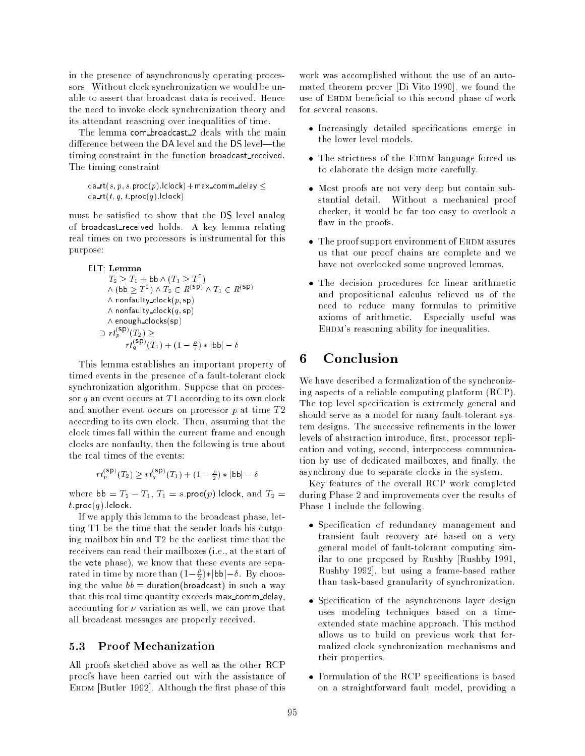in the presence of asynchronously operating processors. Without clock synchronization we would be unable to assert that broadcast data is received. Hence the need to invoke clock synchronization theory and its attendant reasoning over inequalities of time.

The lemma com broadcast<sub>2</sub> deals with the main difference between the DA level and the DS level—the timing constraint in the function broadcast received. The timing constraint

da  $\mathsf{rt}(s, p, s.\mathsf{proc}(p).lclock) + \mathsf{max\_comm\_delay} \leq$  $d$ a rt $(t, q, t.$ proc $(q)$ .lclock)

must be satisfied to show that the DS level analog of broadcast received holds. <sup>A</sup> key lemma relating real times on two processors is instrumental for this purpose:

ELT: Lemma  
\n
$$
T_2 ≥ T_1 + bb ∧ (T_1 ≥ T^0)
$$
\n∧ (bb ≥ T<sup>0</sup>) ∧ T<sub>2</sub> ∈ R<sup>(sp)</sup> ∧ T<sub>1</sub> ∈ R<sup>(sp)</sup>  
\n∧ nonfaulty.close(r, sp)  
\n∧ nonfaulty.close(r, sp)  
\n∧ enough-clocks(sp)  
\n⇒ rt<sub>p</sub><sup>(sp)</sup>(T<sub>2</sub>) ≥  
\nr t<sub>g</sub><sup>(sp)</sup>(T<sub>1</sub>) + (1 −  $\frac{\rho}{2}$ ) \* |bb| − δ

This lemma establishes an important property of timed events in the presence of a fault-tolerant clock synchronization algorithm. Suppose that on processor q an event occurs at  $T1$  according to its own clock and another event occurs on processor  $p$  at time  $T2$ according to its own clock. Then, assuming that the clock times fall within the current frame and enough clocks are nonfaulty, then the following is true about the real times of the events:

 $\overline{\phantom{a}}$ 

$$
rt_p^{(\text{SP})}(T_2) \ge rt_q^{(\text{SP})}(T_1) + (1 - \frac{\rho}{2}) * |\text{bb}| - \delta
$$

where  $\mathsf{bb} = T_2 - T_1$ ,  $T_1 = s.\mathsf{proc}(p).$ lclock, and  $T_2 =$ t.proc $(q)$ .lclock.

If we apply this lemma to the broadcast phase, letting T1 be the time that the sender loads his outgoing mailbox bin and T2 be the earliest time that the receivers can read their mailboxes (i.e., at the start of the vote phase), we know that these events are separated in time by more than  $(1-\frac{\rho}{2})*|bb|-\delta$ . By choosing the value bb = duration(broadcast) in such a way that this real time quantity exceeds max comm delay, accounting for  $\nu$  variation as well, we can prove that all broadcast messages are properly received.

### 5.3 Proof Mechanization

All proofs sketched above as well as the other RCP proofs have been carried out with the assistance of EHDM [Butler 1992]. Although the first phase of this

work was accomplished without the use of an automated theorem prover [Di Vito 1990], we found the use of EHDM beneficial to this second phase of work for several reasons.

- Increasingly detailed specications emerge in the lower level models.
- The strict nearest of the Ehdmal and International contract use of the Ehdm to elaborate the design more carefully.
- Most proofs are not very deep but contain substantial detail. Without a mechanical proof checker, it would be far too easy to overlook a flaw in the proofs.
- The proof support environment of Ehdm assures us that our proof chains are complete and we have not overlooked some unproved lemmas.
- The decision procedures for linear arithmetic and propositional calculus relieved us of the need to reduce many formulas to primitive axioms of arithmetic. Especially useful was EHDM's reasoning ability for inequalities.

## 6

We have described a formalization of the synchronizing aspects of a reliable computing platform (RCP). The top level specification is extremely general and should serve as a model for many fault-tolerant system designs. The successive refinements in the lower levels of abstraction introduce, first, processor replication and voting, second, interprocess communication by use of dedicated mailboxes, and finally, the asynchrony due to separate clocks in the system.

Key features of the overall RCP work completed during Phase 2 and improvements over the results of Phase 1 include the following.

- Specication of redundancy management and transient fault recovery are based on a very general model of fault-tolerant computing similar to one proposed by Rushby [Rushby 1991, Rushby 1992], but using a frame-based rather than task-based granularity of synchronization.
- species and the assembly designed as a second property of the asymptotic design and asymptotic design and a second property of the second property of the second property of the second second and a second second second seco uses modeling techniques based on a timeextended state machine approach. This method allows us to build on previous work that formalized clock synchronization mechanisms and their properties.
- Formulation of the RCP specications is based on a straightforward fault model, providing a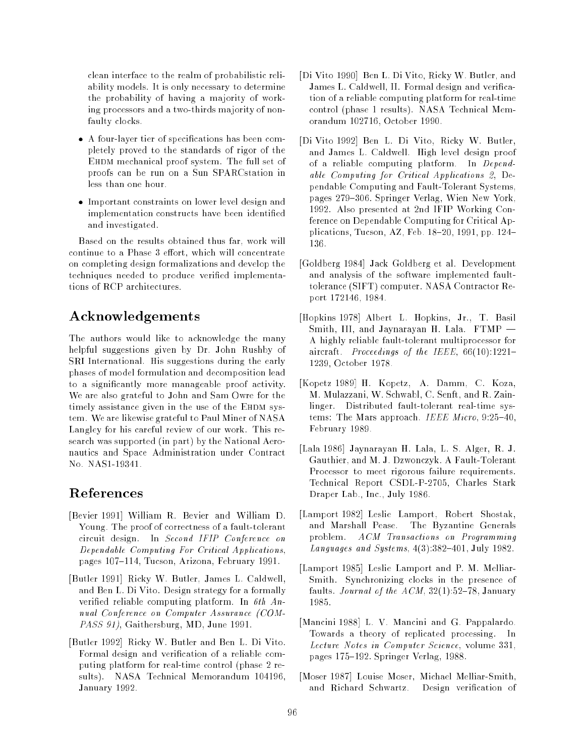clean interface to the realm of probabilistic reliability models. It is only necessary to determine the probability of having a majority of working processors and a two-thirds majority of nonfaulty clocks.

- A four-layer tier of specications has been completely proved to the standards of rigor of the EHDM mechanical proof system. The full set of proofs can be run on a Sun SPARCstation in less than one hour.
- Important constraints on lower level design and implementation constructs have been identified and investigated.

Based on the results obtained thus far, work will continue to a Phase 3 effort, which will concentrate on completing design formalizations and develop the techniques needed to produce verified implementations of RCP architectures.

# Acknowledgements

The authors would like to acknowledge the many helpful suggestions given by Dr. John Rushby of SRI International. His suggestions during the early phases of model formulation and decomposition lead to a signicantly more manageable proof activity. We are also grateful to John and Sam Owre for the timely assistance given in the use of the EHDM system. We are likewise grateful to Paul Miner of NASA Langley for his careful review of our work. This research was supported (in part) by the National Aeronautics and Space Administration under Contract No. NAS1-19341.

## References

- [Bevier 1991] William R. Bevier and William D. Young. The proof of correctness of a fault-tolerant circuit design. In Second IFIP Conference on Dependable Computing For Critical Applications, pages 107-114, Tucson, Arizona, February 1991.
- [Butler 1991] Ricky W. Butler, James L. Caldwell, and Ben L. Di Vito. Design strategy for a formally verified reliable computing platform. In  $6th$  Annual Conference on Computer Assurance (COM-PASS 91), Gaithersburg, MD, June 1991.
- [Butler 1992] Ricky W. Butler and Ben L. Di Vito. Formal design and verification of a reliable computing platform for real-time control (phase 2 results). NASA Technical Memorandum 104196, January 1992.
- [Di Vito 1990] Ben L. Di Vito, Ricky W. Butler, and James L. Caldwell, II. Formal design and verification of a reliable computing platform for real-time control (phase 1 results). NASA Technical Memorandum 102716, October 1990.
- [Di Vito 1992] Ben L. Di Vito, Ricky W. Butler, and James L. Caldwell. High level design proof of a reliable computing platform. In Dependable Computing for Critical Applications 2, Dependable Computing and Fault-Tolerant Systems, pages 279-306. Springer Verlag, Wien New York, 1992. Also presented at 2nd IFIP Working Conference on Dependable Computing for Critical Applications, Tucson, AZ, Feb.  $18{-}20$ , 1991, pp. 124-136.
- [Goldberg 1984] Jack Goldberg et al. Development and analysis of the software implemented faulttolerance (SIFT) computer. NASA Contractor Report 172146, 1984.
- [Hopkins 1978] Albert L. Hopkins, Jr., T. Basil Smith, III, and Jaynarayan H. Lala.  $FTMP \rightharpoonup$ A highly reliable fault-tolerant multiprocessor for aircraft. Proceedings of the IEEE,  $66(10):1221-$ 1239, October 1978.
- [Kopetz 1989] H. Kopetz, A. Damm, C. Koza, M. Mulazzani, W. Schwabl, C. Senft, and R. Zainlinger. Distributed fault-tolerant real-time systems: The Mars approach. IEEE Micro,  $9.25-40$ , February 1989.
- [Lala 1986] Jaynarayan H. Lala, L. S. Alger, R. J. Gauthier, and M. J. Dzwonczyk. A Fault-Tolerant Processor to meet rigorous failure requirements. Technical Report CSDL-P-2705, Charles Stark Draper Lab., Inc., July 1986.
- [Lamport 1982] Leslie Lamport, Robert Shostak, and Marshall Pease. The Byzantine Generals problem. ACM Transactions on Programming Languages and Systems,  $4(3):382-401$ , July 1982.
- [Lamport 1985] Leslie Lamport and P. M. Melliar-Smith. Synchronizing clocks in the presence of faults. Journal of the  $ACM$ ,  $32(1):52-78$ , January 1985.
- [Mancini 1988] L. V. Mancini and G. Pappalardo. Towards a theory of replicated processing. In Lecture Notes in Computer Science, volume 331, pages 175-192. Springer Verlag, 1988.
- [Moser 1987] Louise Moser, Michael Melliar-Smith, and Richard Schwartz. Design verication of